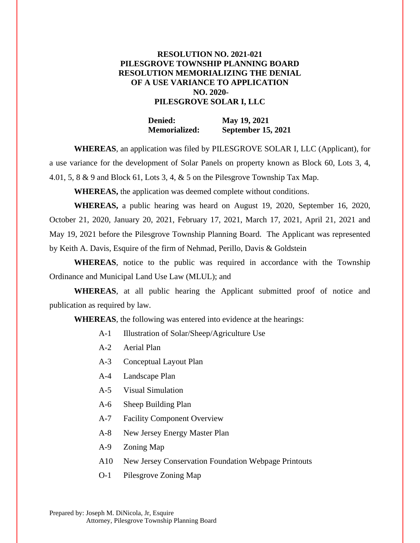## **RESOLUTION NO. 2021-021 PILESGROVE TOWNSHIP PLANNING BOARD RESOLUTION MEMORIALIZING THE DENIAL OF A USE VARIANCE TO APPLICATION NO. 2020- PILESGROVE SOLAR I, LLC**

**Denied: May 19, 2021 Memorialized: September 15, 2021**

**WHEREAS**, an application was filed by PILESGROVE SOLAR I, LLC (Applicant), for a use variance for the development of Solar Panels on property known as Block 60, Lots 3, 4, 4.01, 5, 8 & 9 and Block 61, Lots 3, 4, & 5 on the Pilesgrove Township Tax Map.

**WHEREAS,** the application was deemed complete without conditions.

**WHEREAS,** a public hearing was heard on August 19, 2020, September 16, 2020, October 21, 2020, January 20, 2021, February 17, 2021, March 17, 2021, April 21, 2021 and May 19, 2021 before the Pilesgrove Township Planning Board. The Applicant was represented by Keith A. Davis, Esquire of the firm of Nehmad, Perillo, Davis & Goldstein

**WHEREAS**, notice to the public was required in accordance with the Township Ordinance and Municipal Land Use Law (MLUL); and

**WHEREAS**, at all public hearing the Applicant submitted proof of notice and publication as required by law.

**WHEREAS**, the following was entered into evidence at the hearings:

- A-1 Illustration of Solar/Sheep/Agriculture Use
- A-2 Aerial Plan
- A-3 Conceptual Layout Plan
- A-4 Landscape Plan
- A-5 Visual Simulation
- A-6 Sheep Building Plan
- A-7 Facility Component Overview
- A-8 New Jersey Energy Master Plan
- A-9 Zoning Map
- A10 New Jersey Conservation Foundation Webpage Printouts
- O-1 Pilesgrove Zoning Map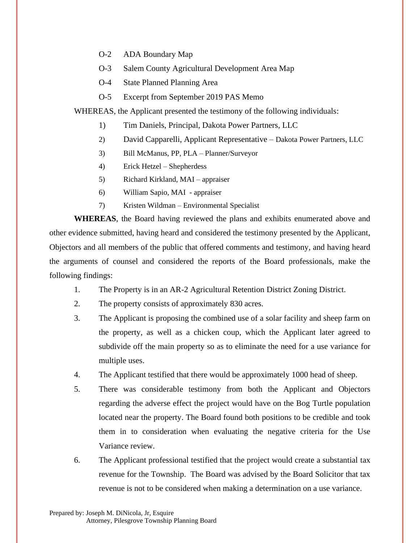- O-2 ADA Boundary Map
- O-3 Salem County Agricultural Development Area Map
- O-4 State Planned Planning Area
- O-5 Excerpt from September 2019 PAS Memo

WHEREAS, the Applicant presented the testimony of the following individuals:

- 1) Tim Daniels, Principal, Dakota Power Partners, LLC
- 2) David Capparelli, Applicant Representative Dakota Power Partners, LLC
- 3) Bill McManus, PP, PLA Planner/Surveyor
- 4) Erick Hetzel Shepherdess
- 5) Richard Kirkland, MAI appraiser
- 6) William Sapio, MAI appraiser
- 7) Kristen Wildman Environmental Specialist

**WHEREAS**, the Board having reviewed the plans and exhibits enumerated above and other evidence submitted, having heard and considered the testimony presented by the Applicant, Objectors and all members of the public that offered comments and testimony, and having heard the arguments of counsel and considered the reports of the Board professionals, make the following findings:

- 1. The Property is in an AR-2 Agricultural Retention District Zoning District.
- 2. The property consists of approximately 830 acres.
- 3. The Applicant is proposing the combined use of a solar facility and sheep farm on the property, as well as a chicken coup, which the Applicant later agreed to subdivide off the main property so as to eliminate the need for a use variance for multiple uses.
- 4. The Applicant testified that there would be approximately 1000 head of sheep.
- 5. There was considerable testimony from both the Applicant and Objectors regarding the adverse effect the project would have on the Bog Turtle population located near the property. The Board found both positions to be credible and took them in to consideration when evaluating the negative criteria for the Use Variance review.
- 6. The Applicant professional testified that the project would create a substantial tax revenue for the Township. The Board was advised by the Board Solicitor that tax revenue is not to be considered when making a determination on a use variance.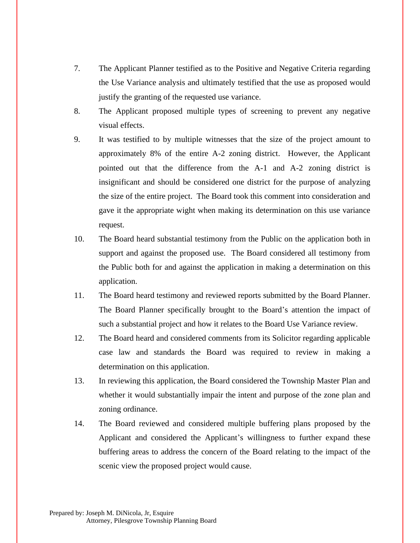- 7. The Applicant Planner testified as to the Positive and Negative Criteria regarding the Use Variance analysis and ultimately testified that the use as proposed would justify the granting of the requested use variance.
- 8. The Applicant proposed multiple types of screening to prevent any negative visual effects.
- 9. It was testified to by multiple witnesses that the size of the project amount to approximately 8% of the entire A-2 zoning district. However, the Applicant pointed out that the difference from the A-1 and A-2 zoning district is insignificant and should be considered one district for the purpose of analyzing the size of the entire project. The Board took this comment into consideration and gave it the appropriate wight when making its determination on this use variance request.
- 10. The Board heard substantial testimony from the Public on the application both in support and against the proposed use. The Board considered all testimony from the Public both for and against the application in making a determination on this application.
- 11. The Board heard testimony and reviewed reports submitted by the Board Planner. The Board Planner specifically brought to the Board's attention the impact of such a substantial project and how it relates to the Board Use Variance review.
- 12. The Board heard and considered comments from its Solicitor regarding applicable case law and standards the Board was required to review in making a determination on this application.
- 13. In reviewing this application, the Board considered the Township Master Plan and whether it would substantially impair the intent and purpose of the zone plan and zoning ordinance.
- 14. The Board reviewed and considered multiple buffering plans proposed by the Applicant and considered the Applicant's willingness to further expand these buffering areas to address the concern of the Board relating to the impact of the scenic view the proposed project would cause.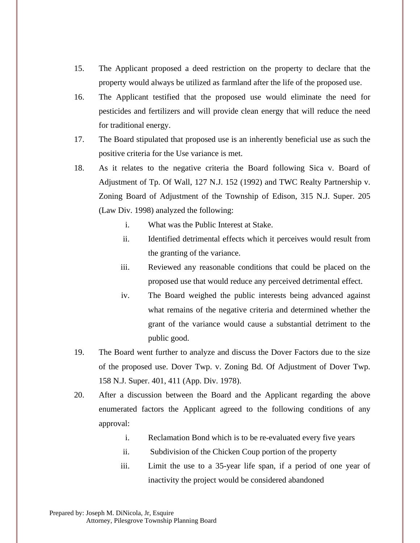- 15. The Applicant proposed a deed restriction on the property to declare that the property would always be utilized as farmland after the life of the proposed use.
- 16. The Applicant testified that the proposed use would eliminate the need for pesticides and fertilizers and will provide clean energy that will reduce the need for traditional energy.
- 17. The Board stipulated that proposed use is an inherently beneficial use as such the positive criteria for the Use variance is met.
- 18. As it relates to the negative criteria the Board following Sica v. Board of Adjustment of Tp. Of Wall, 127 N.J. 152 (1992) and TWC Realty Partnership v. Zoning Board of Adjustment of the Township of Edison, 315 N.J. Super. 205 (Law Div. 1998) analyzed the following:
	- i. What was the Public Interest at Stake.
	- ii. Identified detrimental effects which it perceives would result from the granting of the variance.
	- iii. Reviewed any reasonable conditions that could be placed on the proposed use that would reduce any perceived detrimental effect.
	- iv. The Board weighed the public interests being advanced against what remains of the negative criteria and determined whether the grant of the variance would cause a substantial detriment to the public good.
- 19. The Board went further to analyze and discuss the Dover Factors due to the size of the proposed use. Dover Twp. v. Zoning Bd. Of Adjustment of Dover Twp. 158 N.J. Super. 401, 411 (App. Div. 1978).
- 20. After a discussion between the Board and the Applicant regarding the above enumerated factors the Applicant agreed to the following conditions of any approval:
	- i. Reclamation Bond which is to be re-evaluated every five years
	- ii. Subdivision of the Chicken Coup portion of the property
	- iii. Limit the use to a 35-year life span, if a period of one year of inactivity the project would be considered abandoned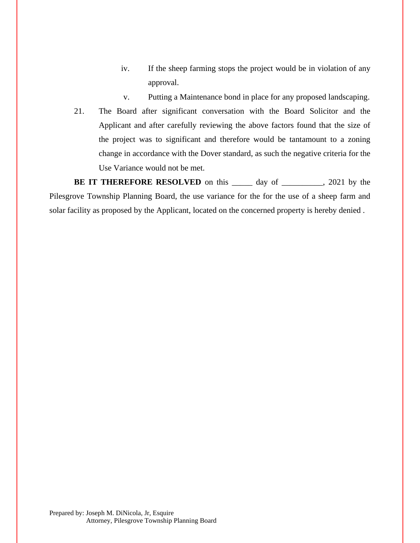- iv. If the sheep farming stops the project would be in violation of any approval.
- v. Putting a Maintenance bond in place for any proposed landscaping.
- 21. The Board after significant conversation with the Board Solicitor and the Applicant and after carefully reviewing the above factors found that the size of the project was to significant and therefore would be tantamount to a zoning change in accordance with the Dover standard, as such the negative criteria for the Use Variance would not be met.

**BE IT THEREFORE RESOLVED** on this day of 3021 by the Pilesgrove Township Planning Board, the use variance for the for the use of a sheep farm and solar facility as proposed by the Applicant, located on the concerned property is hereby denied .